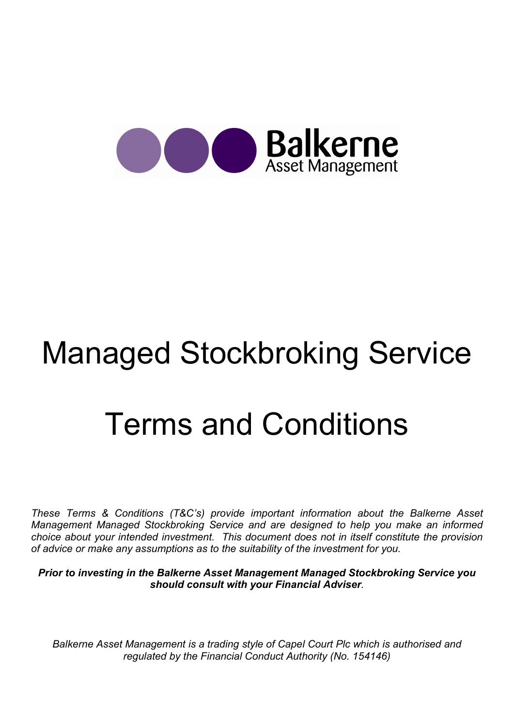

# Managed Stockbroking Service Terms and Conditions

These Terms & Conditions (T&C's) provide important information about the Balkerne Asset Management Managed Stockbroking Service and are designed to help you make an informed choice about your intended investment. This document does not in itself constitute the provision of advice or make any assumptions as to the suitability of the investment for you.

Prior to investing in the Balkerne Asset Management Managed Stockbroking Service you should consult with your Financial Adviser.

Balkerne Asset Management is a trading style of Capel Court Plc which is authorised and regulated by the Financial Conduct Authority (No. 154146)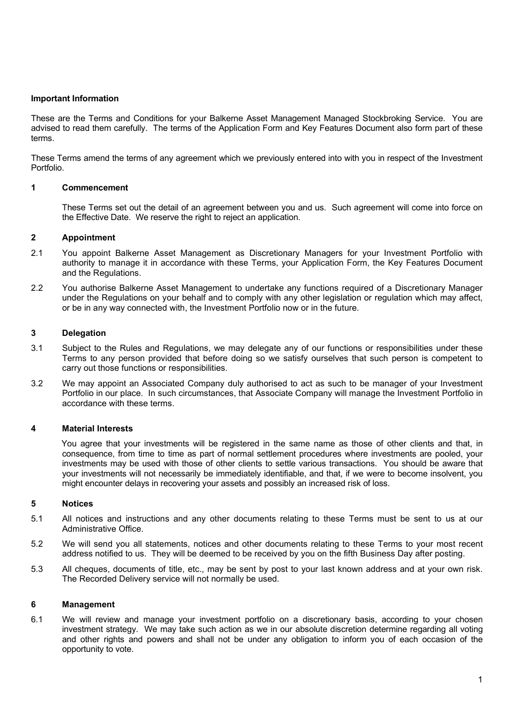### Important Information

These are the Terms and Conditions for your Balkerne Asset Management Managed Stockbroking Service. You are advised to read them carefully. The terms of the Application Form and Key Features Document also form part of these terms.

These Terms amend the terms of any agreement which we previously entered into with you in respect of the Investment Portfolio.

## 1 Commencement

 These Terms set out the detail of an agreement between you and us. Such agreement will come into force on the Effective Date. We reserve the right to reject an application.

## 2 Appointment

- 2.1 You appoint Balkerne Asset Management as Discretionary Managers for your Investment Portfolio with authority to manage it in accordance with these Terms, your Application Form, the Key Features Document and the Regulations.
- 2.2 You authorise Balkerne Asset Management to undertake any functions required of a Discretionary Manager under the Regulations on your behalf and to comply with any other legislation or regulation which may affect, or be in any way connected with, the Investment Portfolio now or in the future.

#### 3 Delegation

- 3.1 Subject to the Rules and Regulations, we may delegate any of our functions or responsibilities under these Terms to any person provided that before doing so we satisfy ourselves that such person is competent to carry out those functions or responsibilities.
- 3.2 We may appoint an Associated Company duly authorised to act as such to be manager of your Investment Portfolio in our place. In such circumstances, that Associate Company will manage the Investment Portfolio in accordance with these terms.

#### 4 Material Interests

You agree that your investments will be registered in the same name as those of other clients and that, in consequence, from time to time as part of normal settlement procedures where investments are pooled, your investments may be used with those of other clients to settle various transactions. You should be aware that your investments will not necessarily be immediately identifiable, and that, if we were to become insolvent, you might encounter delays in recovering your assets and possibly an increased risk of loss.

#### 5 Notices

- 5.1 All notices and instructions and any other documents relating to these Terms must be sent to us at our Administrative Office.
- 5.2 We will send you all statements, notices and other documents relating to these Terms to your most recent address notified to us. They will be deemed to be received by you on the fifth Business Day after posting.
- 5.3 All cheques, documents of title, etc., may be sent by post to your last known address and at your own risk. The Recorded Delivery service will not normally be used.

#### 6 Management

6.1 We will review and manage your investment portfolio on a discretionary basis, according to your chosen investment strategy. We may take such action as we in our absolute discretion determine regarding all voting and other rights and powers and shall not be under any obligation to inform you of each occasion of the opportunity to vote.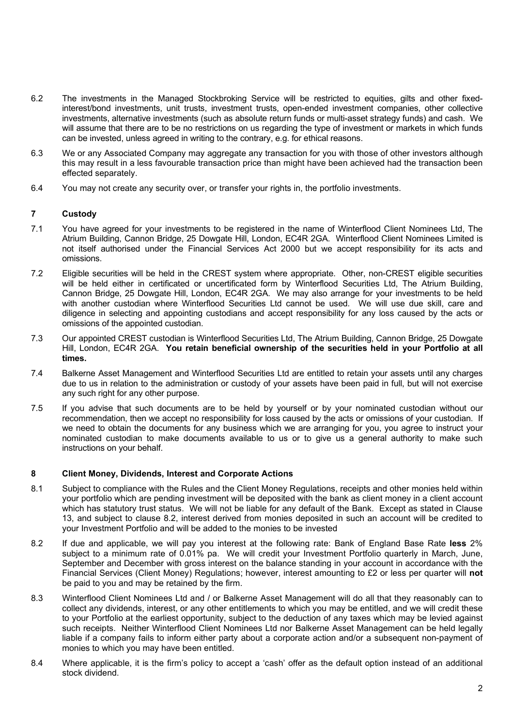- 6.2 The investments in the Managed Stockbroking Service will be restricted to equities, gilts and other fixedinterest/bond investments, unit trusts, investment trusts, open-ended investment companies, other collective investments, alternative investments (such as absolute return funds or multi-asset strategy funds) and cash. We will assume that there are to be no restrictions on us regarding the type of investment or markets in which funds can be invested, unless agreed in writing to the contrary, e.g. for ethical reasons.
- 6.3 We or any Associated Company may aggregate any transaction for you with those of other investors although this may result in a less favourable transaction price than might have been achieved had the transaction been effected separately.
- 6.4 You may not create any security over, or transfer your rights in, the portfolio investments.

## 7 Custody

- 7.1 You have agreed for your investments to be registered in the name of Winterflood Client Nominees Ltd, The Atrium Building, Cannon Bridge, 25 Dowgate Hill, London, EC4R 2GA. Winterflood Client Nominees Limited is not itself authorised under the Financial Services Act 2000 but we accept responsibility for its acts and omissions.
- 7.2 Eligible securities will be held in the CREST system where appropriate. Other, non-CREST eligible securities will be held either in certificated or uncertificated form by Winterflood Securities Ltd, The Atrium Building, Cannon Bridge, 25 Dowgate Hill, London, EC4R 2GA. We may also arrange for your investments to be held with another custodian where Winterflood Securities Ltd cannot be used. We will use due skill, care and diligence in selecting and appointing custodians and accept responsibility for any loss caused by the acts or omissions of the appointed custodian.
- 7.3 Our appointed CREST custodian is Winterflood Securities Ltd, The Atrium Building, Cannon Bridge, 25 Dowgate Hill, London, EC4R 2GA. You retain beneficial ownership of the securities held in your Portfolio at all times.
- 7.4 Balkerne Asset Management and Winterflood Securities Ltd are entitled to retain your assets until any charges due to us in relation to the administration or custody of your assets have been paid in full, but will not exercise any such right for any other purpose.
- 7.5 If you advise that such documents are to be held by yourself or by your nominated custodian without our recommendation, then we accept no responsibility for loss caused by the acts or omissions of your custodian. If we need to obtain the documents for any business which we are arranging for you, you agree to instruct your nominated custodian to make documents available to us or to give us a general authority to make such instructions on your behalf.

# 8 Client Money, Dividends, Interest and Corporate Actions

- 8.1 Subject to compliance with the Rules and the Client Money Regulations, receipts and other monies held within your portfolio which are pending investment will be deposited with the bank as client money in a client account which has statutory trust status. We will not be liable for any default of the Bank. Except as stated in Clause 13, and subject to clause 8.2, interest derived from monies deposited in such an account will be credited to your Investment Portfolio and will be added to the monies to be invested
- 8.2 If due and applicable, we will pay you interest at the following rate: Bank of England Base Rate less 2% subject to a minimum rate of 0.01% pa. We will credit your Investment Portfolio quarterly in March, June, September and December with gross interest on the balance standing in your account in accordance with the Financial Services (Client Money) Regulations; however, interest amounting to £2 or less per quarter will not be paid to you and may be retained by the firm.
- 8.3 Winterflood Client Nominees Ltd and / or Balkerne Asset Management will do all that they reasonably can to collect any dividends, interest, or any other entitlements to which you may be entitled, and we will credit these to your Portfolio at the earliest opportunity, subject to the deduction of any taxes which may be levied against such receipts. Neither Winterflood Client Nominees Ltd nor Balkerne Asset Management can be held legally liable if a company fails to inform either party about a corporate action and/or a subsequent non-payment of monies to which you may have been entitled.
- 8.4 Where applicable, it is the firm's policy to accept a 'cash' offer as the default option instead of an additional stock dividend.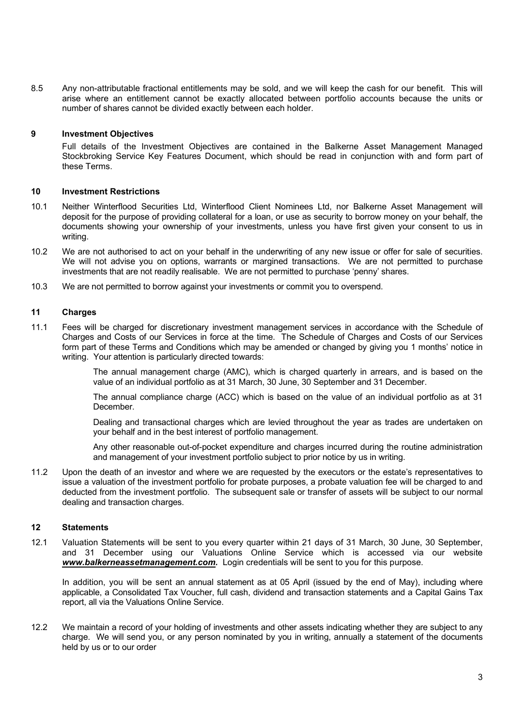8.5 Any non-attributable fractional entitlements may be sold, and we will keep the cash for our benefit. This will arise where an entitlement cannot be exactly allocated between portfolio accounts because the units or number of shares cannot be divided exactly between each holder.

### 9 Investment Objectives

 Full details of the Investment Objectives are contained in the Balkerne Asset Management Managed Stockbroking Service Key Features Document, which should be read in conjunction with and form part of these Terms.

## 10 Investment Restrictions

- 10.1 Neither Winterflood Securities Ltd, Winterflood Client Nominees Ltd, nor Balkerne Asset Management will deposit for the purpose of providing collateral for a loan, or use as security to borrow money on your behalf, the documents showing your ownership of your investments, unless you have first given your consent to us in writing.
- 10.2 We are not authorised to act on your behalf in the underwriting of any new issue or offer for sale of securities. We will not advise you on options, warrants or margined transactions. We are not permitted to purchase investments that are not readily realisable. We are not permitted to purchase 'penny' shares.
- 10.3 We are not permitted to borrow against your investments or commit you to overspend.

#### 11 Charges

11.1 Fees will be charged for discretionary investment management services in accordance with the Schedule of Charges and Costs of our Services in force at the time. The Schedule of Charges and Costs of our Services form part of these Terms and Conditions which may be amended or changed by giving you 1 months' notice in writing. Your attention is particularly directed towards:

> The annual management charge (AMC), which is charged quarterly in arrears, and is based on the value of an individual portfolio as at 31 March, 30 June, 30 September and 31 December.

> The annual compliance charge (ACC) which is based on the value of an individual portfolio as at 31 December.

> Dealing and transactional charges which are levied throughout the year as trades are undertaken on your behalf and in the best interest of portfolio management.

> Any other reasonable out-of-pocket expenditure and charges incurred during the routine administration and management of your investment portfolio subject to prior notice by us in writing.

11.2 Upon the death of an investor and where we are requested by the executors or the estate's representatives to issue a valuation of the investment portfolio for probate purposes, a probate valuation fee will be charged to and deducted from the investment portfolio. The subsequent sale or transfer of assets will be subject to our normal dealing and transaction charges.

# 12 Statements

12.1 Valuation Statements will be sent to you every quarter within 21 days of 31 March, 30 June, 30 September, and 31 December using our Valuations Online Service which is accessed via our website www.balkerneassetmanagement.com. Login credentials will be sent to you for this purpose.

In addition, you will be sent an annual statement as at 05 April (issued by the end of May), including where applicable, a Consolidated Tax Voucher, full cash, dividend and transaction statements and a Capital Gains Tax report, all via the Valuations Online Service.

12.2 We maintain a record of your holding of investments and other assets indicating whether they are subject to any charge. We will send you, or any person nominated by you in writing, annually a statement of the documents held by us or to our order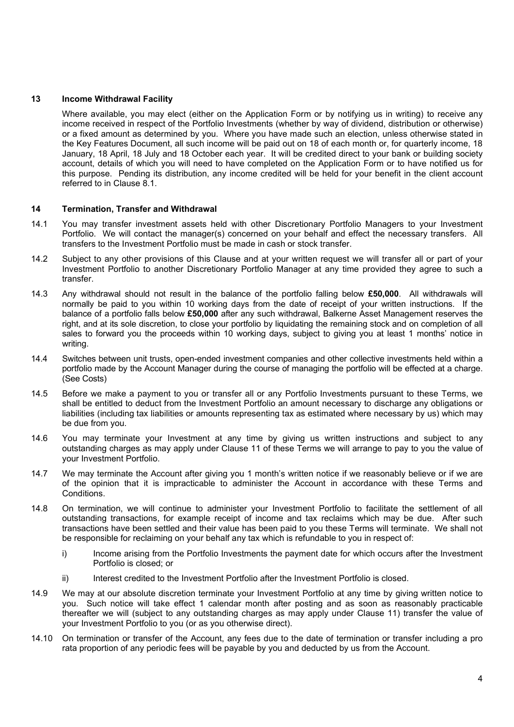### 13 Income Withdrawal Facility

 Where available, you may elect (either on the Application Form or by notifying us in writing) to receive any income received in respect of the Portfolio Investments (whether by way of dividend, distribution or otherwise) or a fixed amount as determined by you. Where you have made such an election, unless otherwise stated in the Key Features Document, all such income will be paid out on 18 of each month or, for quarterly income, 18 January, 18 April, 18 July and 18 October each year. It will be credited direct to your bank or building society account, details of which you will need to have completed on the Application Form or to have notified us for this purpose. Pending its distribution, any income credited will be held for your benefit in the client account referred to in Clause 8.1.

## 14 Termination, Transfer and Withdrawal

- 14.1 You may transfer investment assets held with other Discretionary Portfolio Managers to your Investment Portfolio. We will contact the manager(s) concerned on your behalf and effect the necessary transfers. All transfers to the Investment Portfolio must be made in cash or stock transfer.
- 14.2 Subject to any other provisions of this Clause and at your written request we will transfer all or part of your Investment Portfolio to another Discretionary Portfolio Manager at any time provided they agree to such a transfer.
- 14.3 Any withdrawal should not result in the balance of the portfolio falling below £50,000. All withdrawals will normally be paid to you within 10 working days from the date of receipt of your written instructions. If the balance of a portfolio falls below £50,000 after any such withdrawal, Balkerne Asset Management reserves the right, and at its sole discretion, to close your portfolio by liquidating the remaining stock and on completion of all sales to forward you the proceeds within 10 working days, subject to giving you at least 1 months' notice in writing.
- 14.4 Switches between unit trusts, open-ended investment companies and other collective investments held within a portfolio made by the Account Manager during the course of managing the portfolio will be effected at a charge. (See Costs)
- 14.5 Before we make a payment to you or transfer all or any Portfolio Investments pursuant to these Terms, we shall be entitled to deduct from the Investment Portfolio an amount necessary to discharge any obligations or liabilities (including tax liabilities or amounts representing tax as estimated where necessary by us) which may be due from you.
- 14.6 You may terminate your Investment at any time by giving us written instructions and subject to any outstanding charges as may apply under Clause 11 of these Terms we will arrange to pay to you the value of your Investment Portfolio.
- 14.7 We may terminate the Account after giving you 1 month's written notice if we reasonably believe or if we are of the opinion that it is impracticable to administer the Account in accordance with these Terms and Conditions.
- 14.8 On termination, we will continue to administer your Investment Portfolio to facilitate the settlement of all outstanding transactions, for example receipt of income and tax reclaims which may be due. After such transactions have been settled and their value has been paid to you these Terms will terminate. We shall not be responsible for reclaiming on your behalf any tax which is refundable to you in respect of:
	- i) Income arising from the Portfolio Investments the payment date for which occurs after the Investment Portfolio is closed; or
	- ii) Interest credited to the Investment Portfolio after the Investment Portfolio is closed.
- 14.9 We may at our absolute discretion terminate your Investment Portfolio at any time by giving written notice to you. Such notice will take effect 1 calendar month after posting and as soon as reasonably practicable thereafter we will (subject to any outstanding charges as may apply under Clause 11) transfer the value of your Investment Portfolio to you (or as you otherwise direct).
- 14.10 On termination or transfer of the Account, any fees due to the date of termination or transfer including a pro rata proportion of any periodic fees will be payable by you and deducted by us from the Account.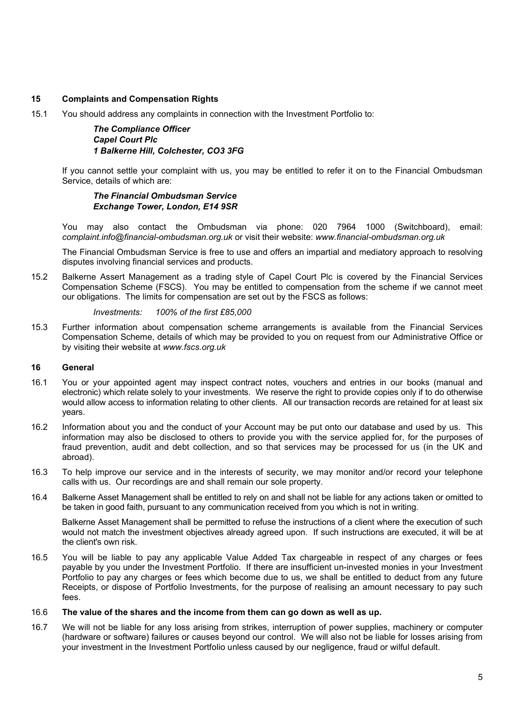# 15 Complaints and Compensation Rights

15.1 You should address any complaints in connection with the Investment Portfolio to:

## The Compliance Officer Capel Court Plc 1 Balkerne Hill, Colchester, CO3 3FG

If you cannot settle your complaint with us, you may be entitled to refer it on to the Financial Ombudsman Service, details of which are:

## The Financial Ombudsman Service Exchange Tower, London, E14 9SR

You may also contact the Ombudsman via phone: 020 7964 1000 (Switchboard), email: complaint.info@financial-ombudsman.org.uk or visit their website: www.financial-ombudsman.org.uk

The Financial Ombudsman Service is free to use and offers an impartial and mediatory approach to resolving disputes involving financial services and products.

15.2 Balkerne Assert Management as a trading style of Capel Court Plc is covered by the Financial Services Compensation Scheme (FSCS). You may be entitled to compensation from the scheme if we cannot meet our obligations. The limits for compensation are set out by the FSCS as follows:

#### Investments: 100% of the first £85,000

15.3 Further information about compensation scheme arrangements is available from the Financial Services Compensation Scheme, details of which may be provided to you on request from our Administrative Office or by visiting their website at www.fscs.org.uk

#### 16 General

- 16.1 You or your appointed agent may inspect contract notes, vouchers and entries in our books (manual and electronic) which relate solely to your investments. We reserve the right to provide copies only if to do otherwise would allow access to information relating to other clients. All our transaction records are retained for at least six years.
- 16.2 Information about you and the conduct of your Account may be put onto our database and used by us. This information may also be disclosed to others to provide you with the service applied for, for the purposes of fraud prevention, audit and debt collection, and so that services may be processed for us (in the UK and abroad).
- 16.3 To help improve our service and in the interests of security, we may monitor and/or record your telephone calls with us. Our recordings are and shall remain our sole property.
- 16.4 Balkerne Asset Management shall be entitled to rely on and shall not be liable for any actions taken or omitted to be taken in good faith, pursuant to any communication received from you which is not in writing.

 Balkerne Asset Management shall be permitted to refuse the instructions of a client where the execution of such would not match the investment objectives already agreed upon. If such instructions are executed, it will be at the client's own risk.

16.5 You will be liable to pay any applicable Value Added Tax chargeable in respect of any charges or fees payable by you under the Investment Portfolio. If there are insufficient un-invested monies in your Investment Portfolio to pay any charges or fees which become due to us, we shall be entitled to deduct from any future Receipts, or dispose of Portfolio Investments, for the purpose of realising an amount necessary to pay such fees.

#### 16.6 The value of the shares and the income from them can go down as well as up.

16.7 We will not be liable for any loss arising from strikes, interruption of power supplies, machinery or computer (hardware or software) failures or causes beyond our control. We will also not be liable for losses arising from your investment in the Investment Portfolio unless caused by our negligence, fraud or wilful default.